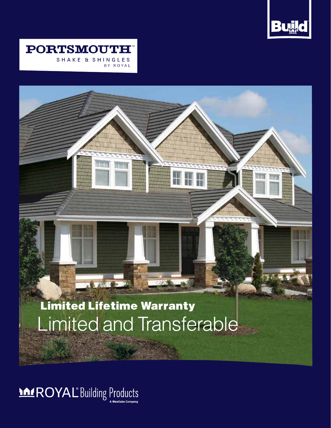



# Limited Lifetime Warranty Limited and Transferable

**TE ALLES** 

**MEROYAL** Building Products